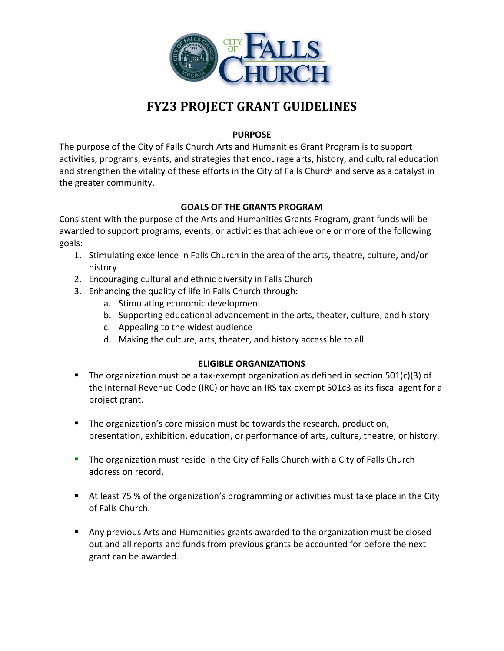

# **FY23 PROJECT GRANT GUIDELINES**

## **PURPOSE**

The purpose of the City of Falls Church Arts and Humanities Grant Program is to support activities, programs, events, and strategies that encourage arts, history, and cultural education and strengthen the vitality of these efforts in the City of Falls Church and serve as a catalyst in the greater community.

## **GOALS OF THE GRANTS PROGRAM**

Consistent with the purpose of the Arts and Humanities Grants Program, grant funds will be awarded to support programs, events, or activities that achieve one or more of the following goals:

- 1. Stimulating excellence in Falls Church in the area of the arts, theatre, culture, and/or history
- 2. Encouraging cultural and ethnic diversity in Falls Church
- 3. Enhancing the quality of life in Falls Church through:
	- a. Stimulating economic development
	- b. Supporting educational advancement in the arts, theater, culture, and history
	- c. Appealing to the widest audience
	- d. Making the culture, arts, theater, and history accessible to all

# **ELIGIBLE ORGANIZATIONS**

- The organization must be a tax-exempt organization as defined in section  $501(c)(3)$  of the Internal Revenue Code (IRC) or have an IRS tax-exempt 501c3 as its fiscal agent for a project grant.
- **The organization's core mission must be towards the research, production,** presentation, exhibition, education, or performance of arts, culture, theatre, or history.
- **The organization must reside in the City of Falls Church with a City of Falls Church** address on record.
- At least 75 % of the organization's programming or activities must take place in the City of Falls Church.
- Any previous Arts and Humanities grants awarded to the organization must be closed out and all reports and funds from previous grants be accounted for before the next grant can be awarded.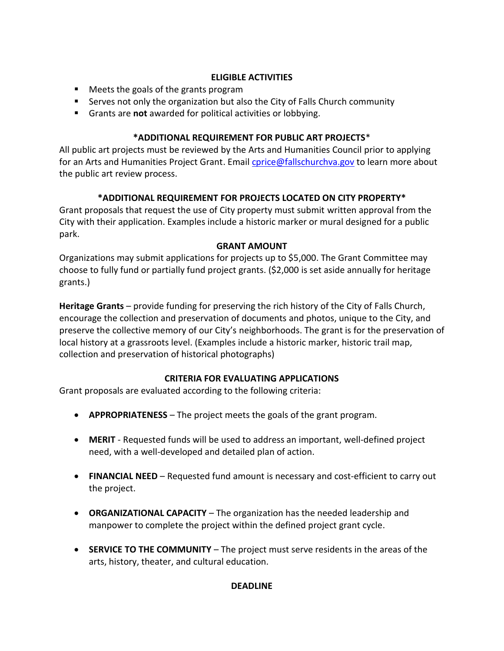# **ELIGIBLE ACTIVITIES**

- Meets the goals of the grants program
- Serves not only the organization but also the City of Falls Church community
- Grants are **not** awarded for political activities or lobbying.

# **\*ADDITIONAL REQUIREMENT FOR PUBLIC ART PROJECTS**\*

All public art projects must be reviewed by the Arts and Humanities Council prior to applying for an Arts and Humanities Project Grant. Email *cprice@fallschurchva.gov* to learn more about the public art review process.

# **\*ADDITIONAL REQUIREMENT FOR PROJECTS LOCATED ON CITY PROPERTY\***

Grant proposals that request the use of City property must submit written approval from the City with their application. Examples include a historic marker or mural designed for a public park.

# **GRANT AMOUNT**

Organizations may submit applications for projects up to \$5,000. The Grant Committee may choose to fully fund or partially fund project grants. (\$2,000 is set aside annually for heritage grants.)

**Heritage Grants** – provide funding for preserving the rich history of the City of Falls Church, encourage the collection and preservation of documents and photos, unique to the City, and preserve the collective memory of our City's neighborhoods. The grant is for the preservation of local history at a grassroots level. (Examples include a historic marker, historic trail map, collection and preservation of historical photographs)

# **CRITERIA FOR EVALUATING APPLICATIONS**

Grant proposals are evaluated according to the following criteria:

- **APPROPRIATENESS**  The project meets the goals of the grant program.
- **MERIT** Requested funds will be used to address an important, well-defined project need, with a well-developed and detailed plan of action.
- **FINANCIAL NEED**  Requested fund amount is necessary and cost-efficient to carry out the project.
- **ORGANIZATIONAL CAPACITY**  The organization has the needed leadership and manpower to complete the project within the defined project grant cycle.
- **SERVICE TO THE COMMUNITY**  The project must serve residents in the areas of the arts, history, theater, and cultural education.

# **DEADLINE**